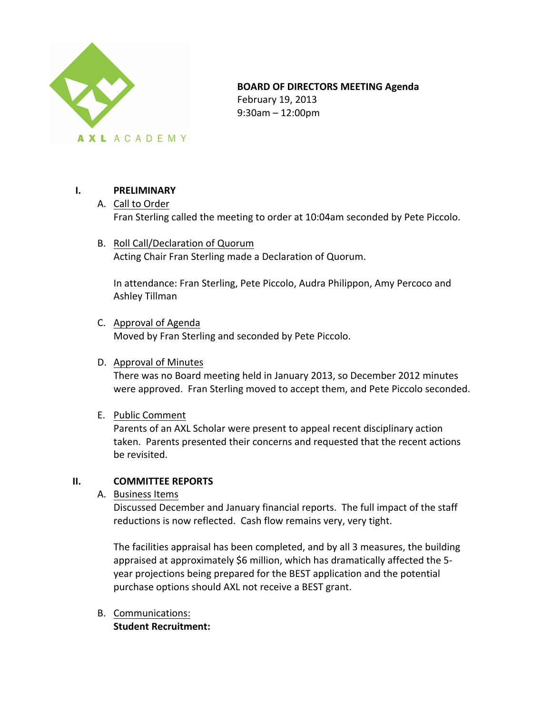

### **BOARD OF DIRECTORS MEETING Agenda**

February 19, 2013 9:30am – 12:00pm

## **I. PRELIMINARY**

- A. Call to Order Fran Sterling called the meeting to order at 10:04am seconded by Pete Piccolo.
- B. Roll Call/Declaration of Quorum Acting Chair Fran Sterling made a Declaration of Quorum.

In attendance: Fran Sterling, Pete Piccolo, Audra Philippon, Amy Percoco and Ashley Tillman

C. Approval of Agenda

Moved by Fran Sterling and seconded by Pete Piccolo.

#### D. Approval of Minutes

There was no Board meeting held in January 2013, so December 2012 minutes were approved. Fran Sterling moved to accept them, and Pete Piccolo seconded.

E. Public Comment

Parents of an AXL Scholar were present to appeal recent disciplinary action taken. Parents presented their concerns and requested that the recent actions be revisited.

## **II. COMMITTEE REPORTS**

A. Business Items

Discussed December and January financial reports. The full impact of the staff reductions is now reflected. Cash flow remains very, very tight.

The facilities appraisal has been completed, and by all 3 measures, the building appraised at approximately \$6 million, which has dramatically affected the 5year projections being prepared for the BEST application and the potential purchase options should AXL not receive a BEST grant.

B. Communications: **Student Recruitment:**